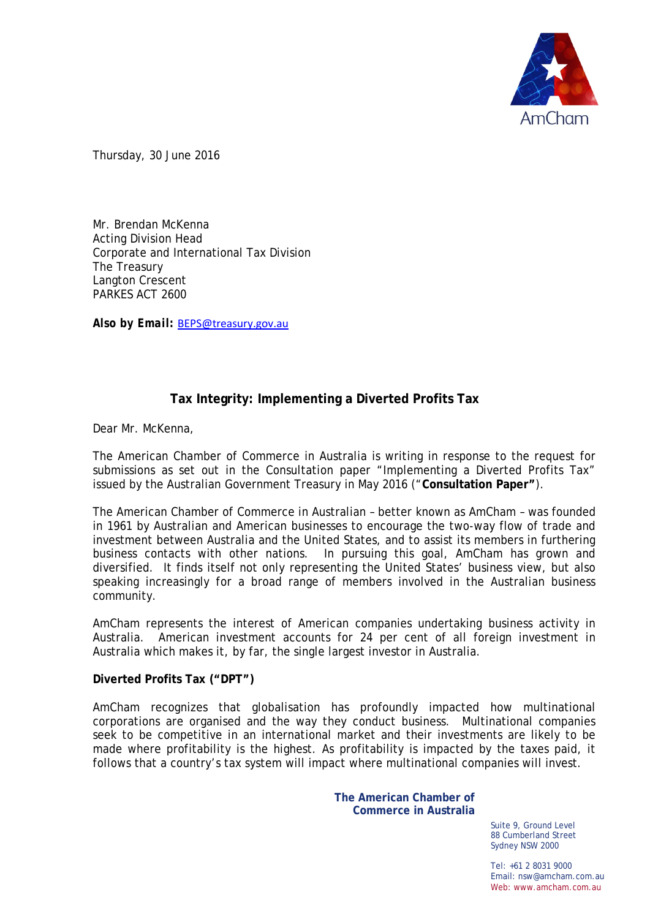

Thursday, 30 June 2016

Mr. Brendan McKenna Acting Division Head Corporate and International Tax Division The Treasury Langton Crescent PARKES ACT 2600

*Also by Email:* [BEPS@treasury.gov.au](mailto:BEPS@treasury.gov.au)

# **Tax Integrity: Implementing a Diverted Profits Tax**

Dear Mr. McKenna,

The American Chamber of Commerce in Australia is writing in response to the request for submissions as set out in the Consultation paper "Implementing a Diverted Profits Tax" issued by the Australian Government Treasury in May 2016 ("**Consultation Paper"**).

The American Chamber of Commerce in Australian – better known as AmCham – was founded in 1961 by Australian and American businesses to encourage the two-way flow of trade and investment between Australia and the United States, and to assist its members in furthering business contacts with other nations. In pursuing this goal, AmCham has grown and diversified. It finds itself not only representing the United States' business view, but also speaking increasingly for a broad range of members involved in the Australian business community.

AmCham represents the interest of American companies undertaking business activity in Australia. American investment accounts for 24 per cent of all foreign investment in Australia which makes it, by far, the single largest investor in Australia.

**Diverted Profits Tax ("DPT")**

AmCham recognizes that globalisation has profoundly impacted how multinational corporations are organised and the way they conduct business. Multinational companies seek to be competitive in an international market and their investments are likely to be made where profitability is the highest. As profitability is impacted by the taxes paid, it follows that a country's tax system will impact where multinational companies will invest.

> **The American Chamber of Commerce in Australia**

> > Suite 9, Ground Level 88 Cumberland Street Sydney NSW 2000

Tel: +61 2 8031 9000 Email: nsw@amcham.com.au Web: www.amcham.com.au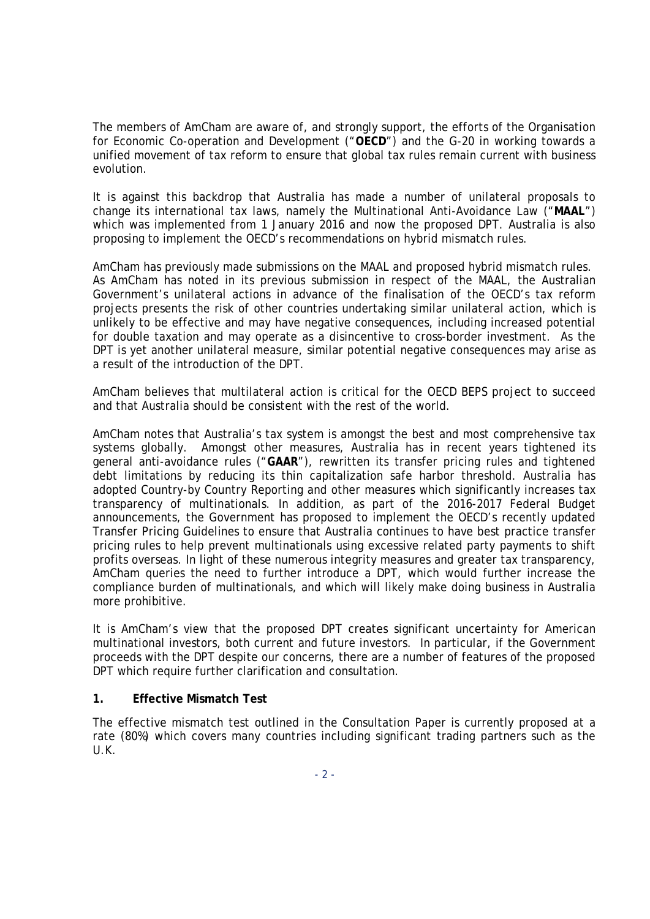The members of AmCham are aware of, and strongly support, the efforts of the Organisation for Economic Co-operation and Development ("**OECD**") and the G-20 in working towards a unified movement of tax reform to ensure that global tax rules remain current with business evolution.

It is against this backdrop that Australia has made a number of unilateral proposals to change its international tax laws, namely the Multinational Anti-Avoidance Law ("**MAAL**") which was implemented from 1 January 2016 and now the proposed DPT. Australia is also proposing to implement the OECD's recommendations on hybrid mismatch rules.

AmCham has previously made submissions on the MAAL and proposed hybrid mismatch rules. As AmCham has noted in its previous submission in respect of the MAAL, the Australian Government's unilateral actions in advance of the finalisation of the OECD's tax reform projects presents the risk of other countries undertaking similar unilateral action, which is unlikely to be effective and may have negative consequences, including increased potential for double taxation and may operate as a disincentive to cross-border investment. As the DPT is yet another unilateral measure, similar potential negative consequences may arise as a result of the introduction of the DPT.

AmCham believes that multilateral action is critical for the OECD BEPS project to succeed and that Australia should be consistent with the rest of the world.

AmCham notes that Australia's tax system is amongst the best and most comprehensive tax systems globally. Amongst other measures, Australia has in recent years tightened its general anti-avoidance rules ("**GAAR**"), rewritten its transfer pricing rules and tightened debt limitations by reducing its thin capitalization safe harbor threshold. Australia has adopted Country-by Country Reporting and other measures which significantly increases tax transparency of multinationals. In addition, as part of the 2016-2017 Federal Budget announcements, the Government has proposed to implement the OECD's recently updated Transfer Pricing Guidelines to ensure that Australia continues to have best practice transfer pricing rules to help prevent multinationals using excessive related party payments to shift profits overseas. In light of these numerous integrity measures and greater tax transparency, AmCham queries the need to further introduce a DPT, which would further increase the compliance burden of multinationals, and which will likely make doing business in Australia more prohibitive.

It is AmCham's view that the proposed DPT creates significant uncertainty for American multinational investors, both current and future investors. In particular, if the Government proceeds with the DPT despite our concerns, there are a number of features of the proposed DPT which require further clarification and consultation.

## **1. Effective Mismatch Test**

The effective mismatch test outlined in the Consultation Paper is currently proposed at a rate (80%) which covers many countries including significant trading partners such as the U.K.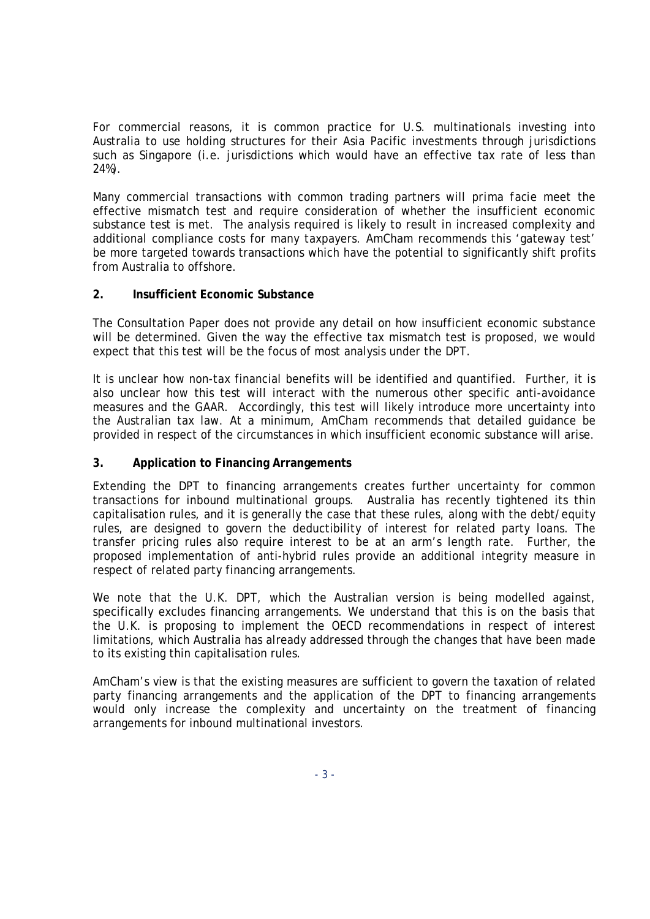For commercial reasons, it is common practice for U.S. multinationals investing into Australia to use holding structures for their Asia Pacific investments through jurisdictions such as Singapore (i.e. jurisdictions which would have an effective tax rate of less than 24%).

Many commercial transactions with common trading partners will *prima facie* meet the effective mismatch test and require consideration of whether the insufficient economic substance test is met. The analysis required is likely to result in increased complexity and additional compliance costs for many taxpayers. AmCham recommends this 'gateway test' be more targeted towards transactions which have the potential to significantly shift profits from Australia to offshore.

## **2. Insufficient Economic Substance**

The Consultation Paper does not provide any detail on how insufficient economic substance will be determined. Given the way the effective tax mismatch test is proposed, we would expect that this test will be the focus of most analysis under the DPT.

It is unclear how non-tax financial benefits will be identified and quantified. Further, it is also unclear how this test will interact with the numerous other specific anti-avoidance measures and the GAAR. Accordingly, this test will likely introduce more uncertainty into the Australian tax law. At a minimum, AmCham recommends that detailed guidance be provided in respect of the circumstances in which insufficient economic substance will arise.

## **3. Application to Financing Arrangements**

Extending the DPT to financing arrangements creates further uncertainty for common transactions for inbound multinational groups. Australia has recently tightened its thin capitalisation rules, and it is generally the case that these rules, along with the debt/equity rules, are designed to govern the deductibility of interest for related party loans. The transfer pricing rules also require interest to be at an arm's length rate. Further, the proposed implementation of anti-hybrid rules provide an additional integrity measure in respect of related party financing arrangements.

We note that the U.K. DPT, which the Australian version is being modelled against, specifically excludes financing arrangements. We understand that this is on the basis that the U.K. is proposing to implement the OECD recommendations in respect of interest limitations, which Australia has already addressed through the changes that have been made to its existing thin capitalisation rules.

AmCham's view is that the existing measures are sufficient to govern the taxation of related party financing arrangements and the application of the DPT to financing arrangements would only increase the complexity and uncertainty on the treatment of financing arrangements for inbound multinational investors.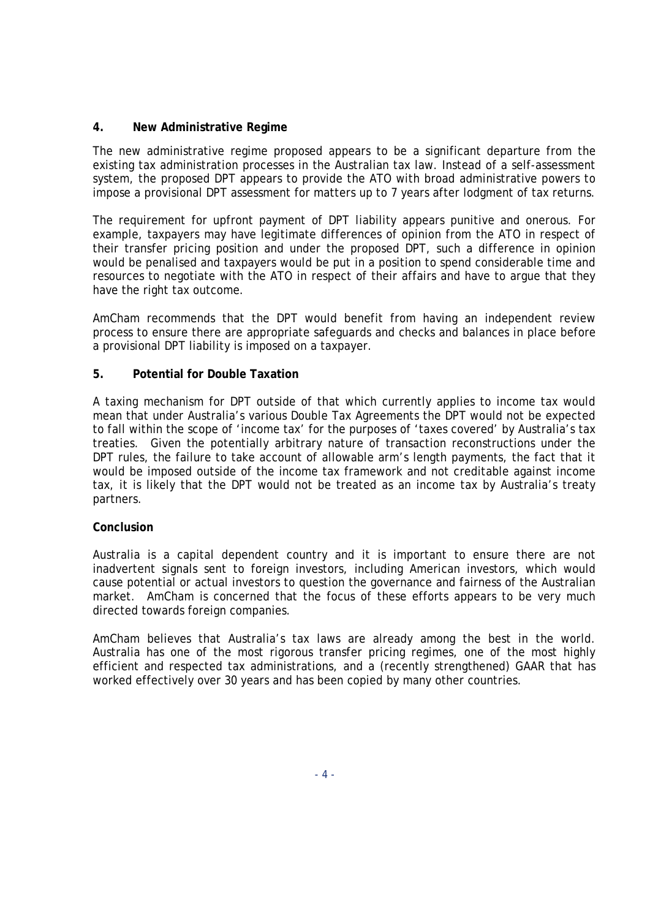## **4. New Administrative Regime**

The new administrative regime proposed appears to be a significant departure from the existing tax administration processes in the Australian tax law. Instead of a self-assessment system, the proposed DPT appears to provide the ATO with broad administrative powers to impose a provisional DPT assessment for matters up to 7 years after lodgment of tax returns.

The requirement for upfront payment of DPT liability appears punitive and onerous. For example, taxpayers may have legitimate differences of opinion from the ATO in respect of their transfer pricing position and under the proposed DPT, such a difference in opinion would be penalised and taxpayers would be put in a position to spend considerable time and resources to negotiate with the ATO in respect of their affairs and have to argue that they have the right tax outcome.

AmCham recommends that the DPT would benefit from having an independent review process to ensure there are appropriate safeguards and checks and balances in place before a provisional DPT liability is imposed on a taxpayer.

## **5. Potential for Double Taxation**

A taxing mechanism for DPT outside of that which currently applies to income tax would mean that under Australia's various Double Tax Agreements the DPT would not be expected to fall within the scope of 'income tax' for the purposes of 'taxes covered' by Australia's tax treaties. Given the potentially arbitrary nature of transaction reconstructions under the DPT rules, the failure to take account of allowable arm's length payments, the fact that it would be imposed outside of the income tax framework and not creditable against income tax, it is likely that the DPT would not be treated as an income tax by Australia's treaty partners.

## **Conclusion**

Australia is a capital dependent country and it is important to ensure there are not inadvertent signals sent to foreign investors, including American investors, which would cause potential or actual investors to question the governance and fairness of the Australian market. AmCham is concerned that the focus of these efforts appears to be very much directed towards foreign companies.

AmCham believes that Australia's tax laws are already among the best in the world. Australia has one of the most rigorous transfer pricing regimes, one of the most highly efficient and respected tax administrations, and a (recently strengthened) GAAR that has worked effectively over 30 years and has been copied by many other countries.